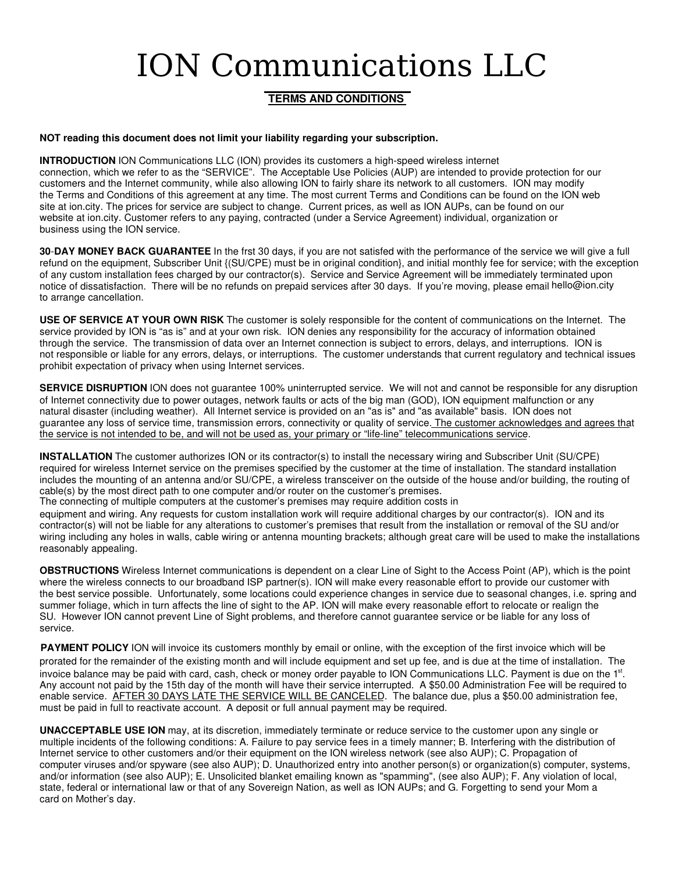## ION Communications LLC

## **TERMS AND CONDITIONS**

## **NOT reading this document does not limit your liability regarding your subscription.**

**INTRODUCTION** ION Communications LLC (ION) provides its customers a high-speed wireless internet connection, which we refer to as the "SERVICE". The Acceptable Use Policies (AUP) are intended to provide protection for our customers and the Internet community, while also allowing ION to fairly share its network to all customers. ION may modify the Terms and Conditions of this agreement at any time. The most current Terms and Conditions can be found on the ION web site at ion.city. The prices for service are subject to change. Current prices, as well as ION AUPs, can be found on our website at ion.city. Customer refers to any paying, contracted (under a Service Agreement) individual, organization or business using the ION service.

**30**-**DAY MONEY BACK GUARANTEE** In the frst 30 days, if you are not satisfed with the performance of the service we will give a full refund on the equipment, Subscriber Unit {(SU/CPE) must be in original condition}, and initial monthly fee for service; with the exception of any custom installation fees charged by our contractor(s). Service and Service Agreement will be immediately terminated upon notice of dissatisfaction. There will be no refunds on prepaid services after 30 days. If you're moving, please email hello@ion.city to arrange cancellation.

**USE OF SERVICE AT YOUR OWN RISK** The customer is solely responsible for the content of communications on the Internet. The service provided by ION is "as is" and at your own risk. ION denies any responsibility for the accuracy of information obtained through the service. The transmission of data over an Internet connection is subject to errors, delays, and interruptions. ION is not responsible or liable for any errors, delays, or interruptions. The customer understands that current regulatory and technical issues prohibit expectation of privacy when using Internet services.

**SERVICE DISRUPTION** ION does not guarantee 100% uninterrupted service. We will not and cannot be responsible for any disruption of Internet connectivity due to power outages, network faults or acts of the big man (GOD), ION equipment malfunction or any natural disaster (including weather). All Internet service is provided on an "as is" and "as available" basis. ION does not guarantee any loss of service time, transmission errors, connectivity or quality of service. The customer acknowledges and agrees that the service is not intended to be, and will not be used as, your primary or "life-line" telecommunications service.

**INSTALLATION** The customer authorizes ION or its contractor(s) to install the necessary wiring and Subscriber Unit (SU/CPE) required for wireless Internet service on the premises specified by the customer at the time of installation. The standard installation includes the mounting of an antenna and/or SU/CPE, a wireless transceiver on the outside of the house and/or building, the routing of cable(s) by the most direct path to one computer and/or router on the customer's premises.

The connecting of multiple computers at the customer's premises may require addition costs in

equipment and wiring. Any requests for custom installation work will require additional charges by our contractor(s). ION and its contractor(s) will not be liable for any alterations to customer's premises that result from the installation or removal of the SU and/or wiring including any holes in walls, cable wiring or antenna mounting brackets; although great care will be used to make the installations reasonably appealing.

**OBSTRUCTIONS** Wireless Internet communications is dependent on a clear Line of Sight to the Access Point (AP), which is the point where the wireless connects to our broadband ISP partner(s). ION will make every reasonable effort to provide our customer with the best service possible. Unfortunately, some locations could experience changes in service due to seasonal changes, i.e. spring and summer foliage, which in turn affects the line of sight to the AP. ION will make every reasonable effort to relocate or realign the SU. However ION cannot prevent Line of Sight problems, and therefore cannot guarantee service or be liable for any loss of service.

**PAYMENT POLICY** ION will invoice its customers monthly by email or online, with the exception of the first invoice which will be prorated for the remainder of the existing month and will include equipment and set up fee, and is due at the time of installation. The invoice balance may be paid with card, cash, check or money order payable to ION Communications LLC. Payment is due on the 1st. Any account not paid by the 15th day of the month will have their service interrupted. A \$50.00 Administration Fee will be required to enable service. AFTER 30 DAYS LATE THE SERVICE WILL BE CANCELED. The balance due, plus a \$50.00 administration fee, must be paid in full to reactivate account. A deposit or full annual payment may be required.

**UNACCEPTABLE USE ION** may, at its discretion, immediately terminate or reduce service to the customer upon any single or multiple incidents of the following conditions: A. Failure to pay service fees in a timely manner; B. Interfering with the distribution of Internet service to other customers and/or their equipment on the ION wireless network (see also AUP); C. Propagation of computer viruses and/or spyware (see also AUP); D. Unauthorized entry into another person(s) or organization(s) computer, systems, and/or information (see also AUP); E. Unsolicited blanket emailing known as "spamming", (see also AUP); F. Any violation of local, state, federal or international law or that of any Sovereign Nation, as well as ION AUPs; and G. Forgetting to send your Mom a card on Mother's day.